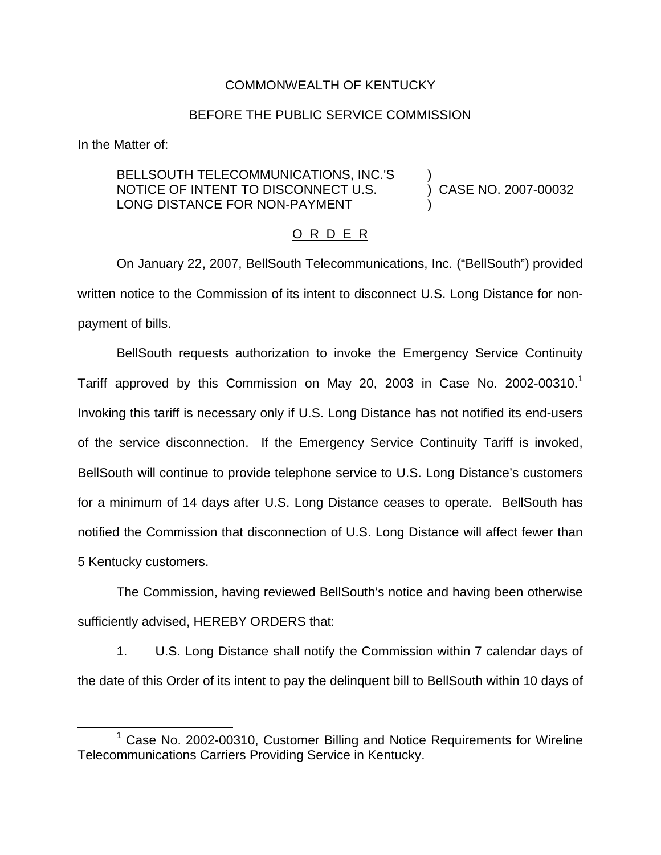## COMMONWEALTH OF KENTUCKY

## BEFORE THE PUBLIC SERVICE COMMISSION

In the Matter of:

## BELLSOUTH TELECOMMUNICATIONS, INC.'S ) NOTICE OF INTENT TO DISCONNECT U.S. (2007-00032 LONG DISTANCE FOR NON-PAYMENT

## O R D E R

On January 22, 2007, BellSouth Telecommunications, Inc. ("BellSouth") provided written notice to the Commission of its intent to disconnect U.S. Long Distance for nonpayment of bills.

BellSouth requests authorization to invoke the Emergency Service Continuity Tariff approved by this Commission on May 20, 2003 in Case No. 2002-00310.<sup>1</sup> Invoking this tariff is necessary only if U.S. Long Distance has not notified its end-users of the service disconnection. If the Emergency Service Continuity Tariff is invoked, BellSouth will continue to provide telephone service to U.S. Long Distance's customers for a minimum of 14 days after U.S. Long Distance ceases to operate. BellSouth has notified the Commission that disconnection of U.S. Long Distance will affect fewer than 5 Kentucky customers.

The Commission, having reviewed BellSouth's notice and having been otherwise sufficiently advised, HEREBY ORDERS that:

1. U.S. Long Distance shall notify the Commission within 7 calendar days of the date of this Order of its intent to pay the delinquent bill to BellSouth within 10 days of

<sup>&</sup>lt;sup>1</sup> Case No. 2002-00310, Customer Billing and Notice Requirements for Wireline Telecommunications Carriers Providing Service in Kentucky.